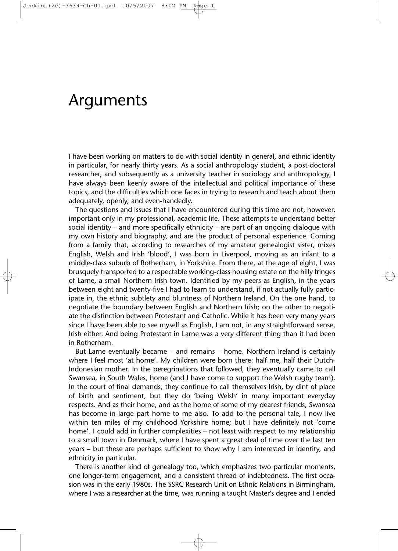# Arguments

I have been working on matters to do with social identity in general, and ethnic identity in particular, for nearly thirty years. As a social anthropology student, a post-doctoral researcher, and subsequently as a university teacher in sociology and anthropology, I have always been keenly aware of the intellectual and political importance of these topics, and the difficulties which one faces in trying to research and teach about them adequately, openly, and even-handedly.

The questions and issues that I have encountered during this time are not, however, important only in my professional, academic life. These attempts to understand better social identity – and more specifically ethnicity – are part of an ongoing dialogue with my own history and biography, and are the product of personal experience. Coming from a family that, according to researches of my amateur genealogist sister, mixes English, Welsh and Irish 'blood', I was born in Liverpool, moving as an infant to a middle-class suburb of Rotherham, in Yorkshire. From there, at the age of eight, I was brusquely transported to a respectable working-class housing estate on the hilly fringes of Larne, a small Northern Irish town. Identified by my peers as English, in the years between eight and twenty-five I had to learn to understand, if not actually fully participate in, the ethnic subtlety and bluntness of Northern Ireland. On the one hand, to negotiate the boundary between English and Northern Irish; on the other to negotiate the distinction between Protestant and Catholic. While it has been very many years since I have been able to see myself as English, I am not, in any straightforward sense, Irish either. And being Protestant in Larne was a very different thing than it had been in Rotherham.

But Larne eventually became – and remains – home. Northern Ireland is certainly where I feel most 'at home'. My children were born there: half me, half their Dutch-Indonesian mother. In the peregrinations that followed, they eventually came to call Swansea, in South Wales, home (and I have come to support the Welsh rugby team). In the court of final demands, they continue to call themselves Irish, by dint of place of birth and sentiment, but they do 'being Welsh' in many important everyday respects. And as their home, and as the home of some of my dearest friends, Swansea has become in large part home to me also. To add to the personal tale, I now live within ten miles of my childhood Yorkshire home; but I have definitely not 'come home'. I could add in further complexities – not least with respect to my relationship to a small town in Denmark, where I have spent a great deal of time over the last ten years – but these are perhaps sufficient to show why I am interested in identity, and ethnicity in particular.

There is another kind of genealogy too, which emphasizes two particular moments, one longer-term engagement, and a consistent thread of indebtedness. The first occasion was in the early 1980s. The SSRC Research Unit on Ethnic Relations in Birmingham, where I was a researcher at the time, was running a taught Master's degree and I ended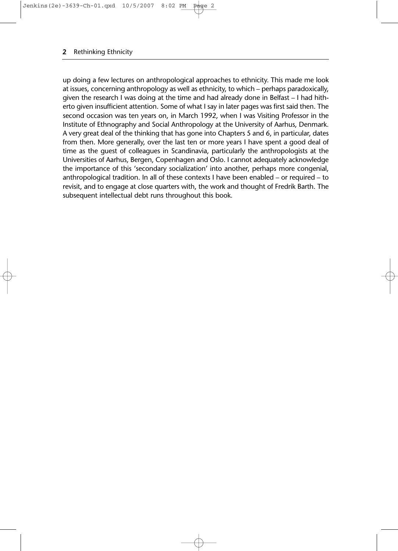up doing a few lectures on anthropological approaches to ethnicity. This made me look at issues, concerning anthropology as well as ethnicity, to which – perhaps paradoxically, given the research I was doing at the time and had already done in Belfast – I had hitherto given insufficient attention. Some of what I say in later pages was first said then. The second occasion was ten years on, in March 1992, when I was Visiting Professor in the Institute of Ethnography and Social Anthropology at the University of Aarhus, Denmark. A very great deal of the thinking that has gone into Chapters 5 and 6, in particular, dates from then. More generally, over the last ten or more years I have spent a good deal of time as the guest of colleagues in Scandinavia, particularly the anthropologists at the Universities of Aarhus, Bergen, Copenhagen and Oslo. I cannot adequately acknowledge the importance of this 'secondary socialization' into another, perhaps more congenial, anthropological tradition. In all of these contexts I have been enabled – or required – to revisit, and to engage at close quarters with, the work and thought of Fredrik Barth. The subsequent intellectual debt runs throughout this book.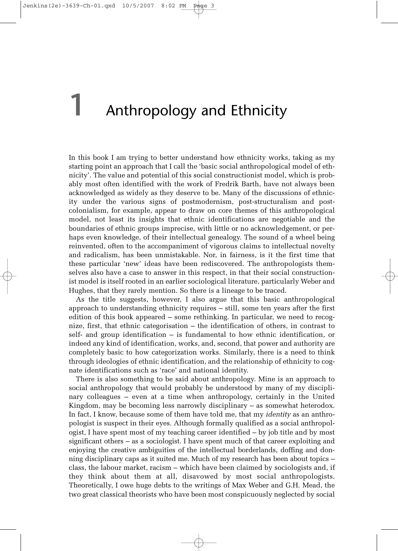# Anthropology and Ethnicity

In this book I am trying to better understand how ethnicity works, taking as my starting point an approach that I call the 'basic social anthropological model of ethnicity'. The value and potential of this social constructionist model, which is probably most often identified with the work of Fredrik Barth, have not always been acknowledged as widely as they deserve to be. Many of the discussions of ethnicity under the various signs of postmodernism, post-structuralism and postcolonialism, for example, appear to draw on core themes of this anthropological model, not least its insights that ethnic identifications are negotiable and the boundaries of ethnic groups imprecise, with little or no acknowledgement, or perhaps even knowledge, of their intellectual genealogy. The sound of a wheel being reinvented, often to the accompaniment of vigorous claims to intellectual novelty and radicalism, has been unmistakable. Nor, in fairness, is it the first time that these particular 'new' ideas have been rediscovered. The anthropologists themselves also have a case to answer in this respect, in that their social constructionist model is itself rooted in an earlier sociological literature, particularly Weber and Hughes, that they rarely mention. So there is a lineage to be traced.

As the title suggests, however, I also argue that this basic anthropological approach to understanding ethnicity requires – still, some ten years after the first edition of this book appeared – some rethinking. In particular, we need to recognize, first, that ethnic categorisation – the identification of others, in contrast to self- and group identification – is fundamental to how ethnic identification, or indeed any kind of identification, works, and, second, that power and authority are completely basic to how categorization works. Similarly, there is a need to think through ideologies of ethnic identification, and the relationship of ethnicity to cognate identifications such as 'race' and national identity.

There is also something to be said about anthropology. Mine is an approach to social anthropology that would probably be understood by many of my disciplinary colleagues – even at a time when anthropology, certainly in the United Kingdom, may be becoming less narrowly disciplinary – as somewhat heterodox. In fact, I know, because some of them have told me, that my *identity* as an anthropologist is suspect in their eyes. Although formally qualified as a social anthropologist, I have spent most of my teaching career identified – by job title and by most significant others – as a sociologist. I have spent much of that career exploiting and enjoying the creative ambiguities of the intellectual borderlands, doffing and donning disciplinary caps as it suited me. Much of my research has been about topics – class, the labour market, racism – which have been claimed by sociologists and, if they think about them at all, disavowed by most social anthropologists. Theoretically, I owe huge debts to the writings of Max Weber and G.H. Mead, the two great classical theorists who have been most conspicuously neglected by social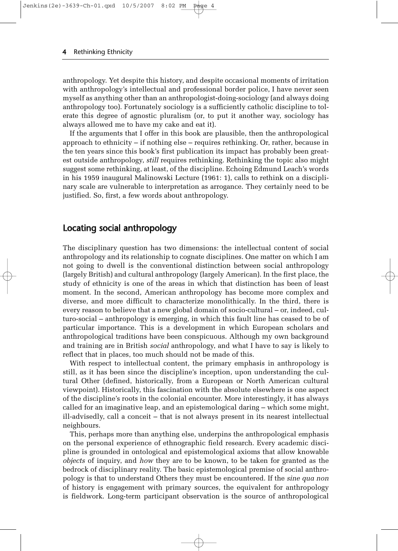anthropology. Yet despite this history, and despite occasional moments of irritation with anthropology's intellectual and professional border police, I have never seen myself as anything other than an anthropologist-doing-sociology (and always doing anthropology too). Fortunately sociology is a sufficiently catholic discipline to tolerate this degree of agnostic pluralism (or, to put it another way, sociology has always allowed me to have my cake and eat it).

If the arguments that I offer in this book are plausible, then the anthropological approach to ethnicity – if nothing else – requires rethinking. Or, rather, because in the ten years since this book's first publication its impact has probably been greatest outside anthropology, *still* requires rethinking. Rethinking the topic also might suggest some rethinking, at least, of the discipline. Echoing Edmund Leach's words in his 1959 inaugural Malinowski Lecture (1961: 1), calls to rethink on a disciplinary scale are vulnerable to interpretation as arrogance. They certainly need to be justified. So, first, a few words about anthropology.

## Locating social anthropology

The disciplinary question has two dimensions: the intellectual content of social anthropology and its relationship to cognate disciplines. One matter on which I am not going to dwell is the conventional distinction between social anthropology (largely British) and cultural anthropology (largely American). In the first place, the study of ethnicity is one of the areas in which that distinction has been of least moment. In the second, American anthropology has become more complex and diverse, and more difficult to characterize monolithically. In the third, there is every reason to believe that a new global domain of socio-cultural – or, indeed, culturo-social – anthropology is emerging, in which this fault line has ceased to be of particular importance. This is a development in which European scholars and anthropological traditions have been conspicuous. Although my own background and training are in British *social* anthropology, and what I have to say is likely to reflect that in places, too much should not be made of this.

With respect to intellectual content, the primary emphasis in anthropology is still, as it has been since the discipline's inception, upon understanding the cultural Other (defined, historically, from a European or North American cultural viewpoint). Historically, this fascination with the absolute elsewhere is one aspect of the discipline's roots in the colonial encounter. More interestingly, it has always called for an imaginative leap, and an epistemological daring – which some might, ill-advisedly, call a conceit – that is not always present in its nearest intellectual neighbours.

This, perhaps more than anything else, underpins the anthropological emphasis on the personal experience of ethnographic field research. Every academic discipline is grounded in ontological and epistemological axioms that allow knowable *objects* of inquiry, and *how* they are to be known, to be taken for granted as the bedrock of disciplinary reality. The basic epistemological premise of social anthropology is that to understand Others they must be encountered. If the *sine qua non* of history is engagement with primary sources, the equivalent for anthropology is fieldwork. Long-term participant observation is the source of anthropological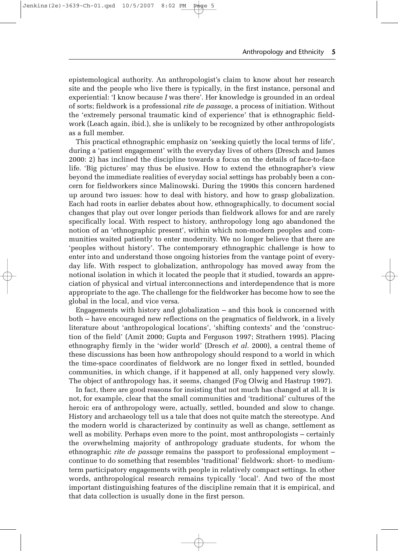epistemological authority. An anthropologist's claim to know about her research site and the people who live there is typically, in the first instance, personal and experiential: 'I know because *I* was there'. Her knowledge is grounded in an ordeal of sorts; fieldwork is a professional *rite de passage*, a process of initiation. Without the 'extremely personal traumatic kind of experience' that is ethnographic fieldwork (Leach again, ibid.), she is unlikely to be recognized by other anthropologists as a full member.

Jenkins(2e)-3639-Ch-01.qxd 10/5/200

This practical ethnographic emphasiz on 'seeking quietly the local terms of life', during a 'patient engagement' with the everyday lives of others (Dresch and James 2000: 2) has inclined the discipline towards a focus on the details of face-to-face life. 'Big pictures' may thus be elusive. How to extend the ethnographer's view beyond the immediate realities of everyday social settings has probably been a concern for fieldworkers since Malinowski. During the 1990s this concern hardened up around two issues: how to deal with history, and how to grasp globalization. Each had roots in earlier debates about how, ethnographically, to document social changes that play out over longer periods than fieldwork allows for and are rarely specifically local. With respect to history, anthropology long ago abandoned the notion of an 'ethnographic present', within which non-modern peoples and communities waited patiently to enter modernity. We no longer believe that there are 'peoples without history'. The contemporary ethnographic challenge is how to enter into and understand those ongoing histories from the vantage point of everyday life. With respect to globalization, anthropology has moved away from the notional isolation in which it located the people that it studied, towards an appreciation of physical and virtual interconnections and interdependence that is more appropriate to the age. The challenge for the fieldworker has become how to see the global in the local, and vice versa.

Engagements with history and globalization – and this book is concerned with both – have encouraged new reflections on the pragmatics of fieldwork, in a lively literature about 'anthropological locations', 'shifting contexts' and the 'construction of the field' (Amit 2000; Gupta and Ferguson 1997; Strathern 1995). Placing ethnography firmly in the 'wider world' (Dresch *et al.* 2000), a central theme of these discussions has been how anthropology should respond to a world in which the time-space coordinates of fieldwork are no longer fixed in settled, bounded communities, in which change, if it happened at all, only happened very slowly. The object of anthropology has, it seems, changed (Fog Olwig and Hastrup 1997).

In fact, there are good reasons for insisting that not much has changed at all. It is not, for example, clear that the small communities and 'traditional' cultures of the heroic era of anthropology were, actually, settled, bounded and slow to change. History and archaeology tell us a tale that does not quite match the stereotype. And the modern world is characterized by continuity as well as change, settlement as well as mobility. Perhaps even more to the point, most anthropologists – certainly the overwhelming majority of anthropology graduate students, for whom the ethnographic *rite de passage* remains the passport to professional employment – continue to do something that resembles 'traditional' fieldwork: short- to mediumterm participatory engagements with people in relatively compact settings. In other words, anthropological research remains typically 'local'. And two of the most important distinguishing features of the discipline remain that it is empirical, and that data collection is usually done in the first person.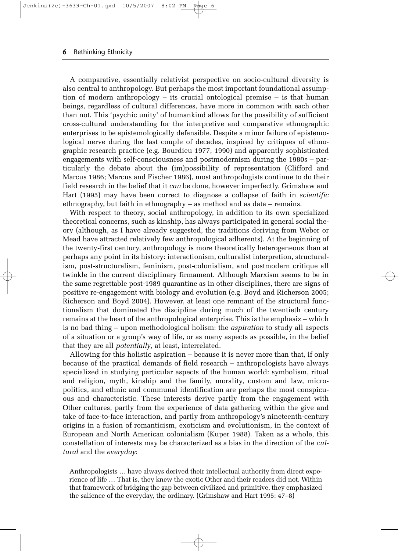A comparative, essentially relativist perspective on socio-cultural diversity is also central to anthropology. But perhaps the most important foundational assumption of modern anthropology – its crucial ontological premise – is that human beings, regardless of cultural differences, have more in common with each other than not. This 'psychic unity' of humankind allows for the possibility of sufficient cross-cultural understanding for the interpretive and comparative ethnographic enterprises to be epistemologically defensible. Despite a minor failure of epistemological nerve during the last couple of decades, inspired by critiques of ethnographic research practice (e.g. Bourdieu 1977, 1990) and apparently sophisticated engagements with self-consciousness and postmodernism during the 1980s – particularly the debate about the (im)possibility of representation (Clifford and Marcus 1986; Marcus and Fischer 1986), most anthropologists continue to do their field research in the belief that it *can* be done, however imperfectly. Grimshaw and Hart (1995) may have been correct to diagnose a collapse of faith in *scientific* ethnography, but faith in ethnography – as method and as data – remains.

With respect to theory, social anthropology, in addition to its own specialized theoretical concerns, such as kinship, has always participated in general social theory (although, as I have already suggested, the traditions deriving from Weber or Mead have attracted relatively few anthropological adherents). At the beginning of the twenty-first century, anthropology is more theoretically heterogeneous than at perhaps any point in its history: interactionism, culturalist interpretion, structuralism, post-structuralism, feminism, post-colonialism, and postmodern critique all twinkle in the current disciplinary firmament. Although Marxism seems to be in the same regrettable post-1989 quarantine as in other disciplines, there are signs of positive re-engagement with biology and evolution (e.g. Boyd and Richerson 2005; Richerson and Boyd 2004). However, at least one remnant of the structural functionalism that dominated the discipline during much of the twentieth century remains at the heart of the anthropological enterprise. This is the emphasiz – which is no bad thing – upon methodological holism: the *aspiration* to study all aspects of a situation or a group's way of life, or as many aspects as possible, in the belief that they are all *potentially*, at least, interrelated.

Allowing for this holistic aspiration – because it is never more than that, if only because of the practical demands of field research – anthropologists have always specialized in studying particular aspects of the human world: symbolism, ritual and religion, myth, kinship and the family, morality, custom and law, micropolitics, and ethnic and communal identification are perhaps the most conspicuous and characteristic. These interests derive partly from the engagement with Other cultures, partly from the experience of data gathering within the give and take of face-to-face interaction, and partly from anthropology's nineteenth-century origins in a fusion of romanticism, exoticism and evolutionism, in the context of European and North American colonialism (Kuper 1988). Taken as a whole, this constellation of interests may be characterized as a bias in the direction of the *cultural* and the *everyday*:

Anthropologists … have always derived their intellectual authority from direct experience of life … That is, they knew the exotic Other and their readers did not. Within that framework of bridging the gap between civilized and primitive, they emphasized the salience of the everyday, the ordinary. (Grimshaw and Hart 1995: 47–8)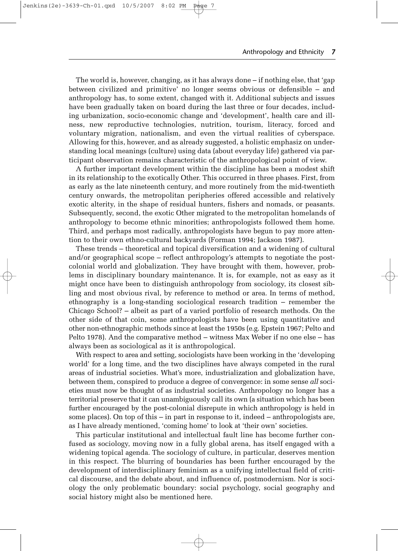The world is, however, changing, as it has always done – if nothing else, that 'gap between civilized and primitive' no longer seems obvious or defensible – and anthropology has, to some extent, changed with it. Additional subjects and issues have been gradually taken on board during the last three or four decades, including urbanization, socio-economic change and 'development', health care and illness, new reproductive technologies, nutrition, tourism, literacy, forced and voluntary migration, nationalism, and even the virtual realities of cyberspace. Allowing for this, however, and as already suggested, a holistic emphasiz on understanding local meanings (culture) using data (about everyday life) gathered via participant observation remains characteristic of the anthropological point of view.

Jenkins(2e)-3639-Ch-01.qxd 10/5/200

A further important development within the discipline has been a modest shift in its relationship to the exotically Other. This occurred in three phases. First, from as early as the late nineteenth century, and more routinely from the mid-twentieth century onwards, the metropolitan peripheries offered accessible and relatively exotic alterity, in the shape of residual hunters, fishers and nomads, or peasants. Subsequently, second, the exotic Other migrated to the metropolitan homelands of anthropology to become ethnic minorities; anthropologists followed them home. Third, and perhaps most radically, anthropologists have begun to pay more attention to their own ethno-cultural backyards (Forman 1994; Jackson 1987).

These trends – theoretical and topical diversification and a widening of cultural and/or geographical scope – reflect anthropology's attempts to negotiate the postcolonial world and globalization. They have brought with them, however, problems in disciplinary boundary maintenance. It is, for example, not as easy as it might once have been to distinguish anthropology from sociology, its closest sibling and most obvious rival, by reference to method or area. In terms of method, ethnography is a long-standing sociological research tradition – remember the Chicago School? – albeit as part of a varied portfolio of research methods. On the other side of that coin, some anthropologists have been using quantitative and other non-ethnographic methods since at least the 1950s (e.g. Epstein 1967; Pelto and Pelto 1978). And the comparative method – witness Max Weber if no one else – has always been as sociological as it is anthropological.

With respect to area and setting, sociologists have been working in the 'developing world' for a long time, and the two disciplines have always competed in the rural areas of industrial societies. What's more, industrialization and globalization have, between them, conspired to produce a degree of convergence: in some sense *all* societies must now be thought of as industrial societies. Anthropology no longer has a territorial preserve that it can unambiguously call its own (a situation which has been further encouraged by the post-colonial disrepute in which anthropology is held in some places). On top of this – in part in response to it, indeed – anthropologists are, as I have already mentioned, 'coming home' to look at 'their own' societies.

This particular institutional and intellectual fault line has become further confused as sociology, moving now in a fully global arena, has itself engaged with a widening topical agenda. The sociology of culture, in particular, deserves mention in this respect. The blurring of boundaries has been further encouraged by the development of interdisciplinary feminism as a unifying intellectual field of critical discourse, and the debate about, and influence of, postmodernism. Nor is sociology the only problematic boundary: social psychology, social geography and social history might also be mentioned here.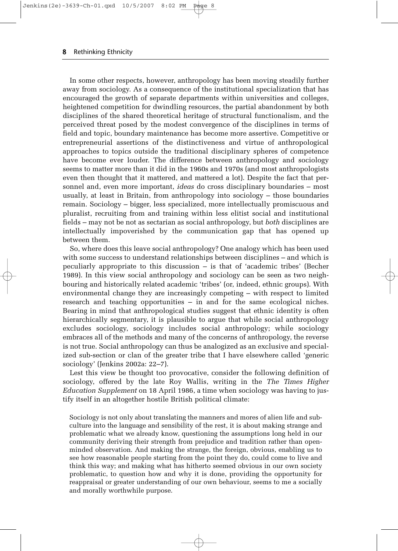In some other respects, however, anthropology has been moving steadily further away from sociology. As a consequence of the institutional specialization that has encouraged the growth of separate departments within universities and colleges, heightened competition for dwindling resources, the partial abandonment by both disciplines of the shared theoretical heritage of structural functionalism, and the perceived threat posed by the modest convergence of the disciplines in terms of field and topic, boundary maintenance has become more assertive. Competitive or entrepreneurial assertions of the distinctiveness and virtue of anthropological approaches to topics outside the traditional disciplinary spheres of competence have become ever louder. The difference between anthropology and sociology seems to matter more than it did in the 1960s and 1970s (and most anthropologists even then thought that it mattered, and mattered a lot). Despite the fact that personnel and, even more important, *ideas* do cross disciplinary boundaries – most usually, at least in Britain, from anthropology into sociology – those boundaries remain. Sociology – bigger, less specialized, more intellectually promiscuous and pluralist, recruiting from and training within less elitist social and institutional fields – may not be not as sectarian as social anthropology, but *both* disciplines are intellectually impoverished by the communication gap that has opened up between them.

So, where does this leave social anthropology? One analogy which has been used with some success to understand relationships between disciplines – and which is peculiarly appropriate to this discussion – is that of 'academic tribes' (Becher 1989). In this view social anthropology and sociology can be seen as two neighbouring and historically related academic 'tribes' (or, indeed, ethnic groups). With environmental change they are increasingly competing – with respect to limited research and teaching opportunities – in and for the same ecological niches. Bearing in mind that anthropological studies suggest that ethnic identity is often hierarchically segmentary, it is plausible to argue that while social anthropology excludes sociology, sociology includes social anthropology; while sociology embraces all of the methods and many of the concerns of anthropology, the reverse is not true. Social anthropology can thus be analogized as an exclusive and specialized sub-section or clan of the greater tribe that I have elsewhere called 'generic sociology' (Jenkins 2002a: 22–7).

Lest this view be thought too provocative, consider the following definition of sociology, offered by the late Roy Wallis, writing in the *The Times Higher Education Supplement* on 18 April 1986, a time when sociology was having to justify itself in an altogether hostile British political climate:

Sociology is not only about translating the manners and mores of alien life and subculture into the language and sensibility of the rest, it is about making strange and problematic what we already know, questioning the assumptions long held in our community deriving their strength from prejudice and tradition rather than openminded observation. And making the strange, the foreign, obvious, enabling us to see how reasonable people starting from the point they do, could come to live and think this way; and making what has hitherto seemed obvious in our own society problematic, to question how and why it is done, providing the opportunity for reappraisal or greater understanding of our own behaviour, seems to me a socially and morally worthwhile purpose.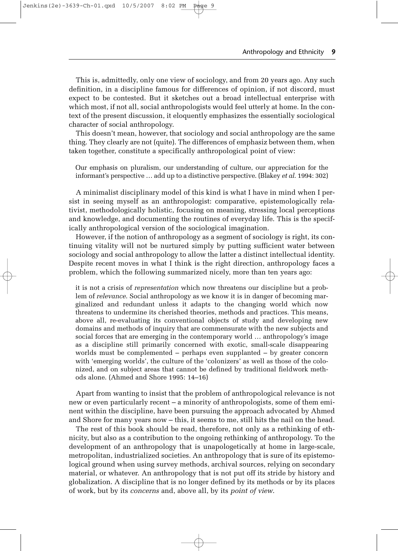This is, admittedly, only one view of sociology, and from 20 years ago. Any such definition, in a discipline famous for differences of opinion, if not discord, must expect to be contested. But it sketches out a broad intellectual enterprise with which most, if not all, social anthropologists would feel utterly at home. In the context of the present discussion, it eloquently emphasizes the essentially sociological character of social anthropology.

Jenkins(2e)-3639-Ch-01.qxd 10/5/2007

This doesn't mean, however, that sociology and social anthropology are the same thing. They clearly are not (quite). The differences of emphasiz between them, when taken together, constitute a specifically anthropological point of view:

Our emphasis on pluralism, our understanding of culture, our appreciation for the informant's perspective … add up to a distinctive perspective. (Blakey *et al*. 1994: 302)

A minimalist disciplinary model of this kind is what I have in mind when I persist in seeing myself as an anthropologist: comparative, epistemologically relativist, methodologically holistic, focusing on meaning, stressing local perceptions and knowledge, and documenting the routines of everyday life. This is the specifically anthropological version of the sociological imagination.

However, if the notion of anthropology as a segment of sociology is right, its continuing vitality will not be nurtured simply by putting sufficient water between sociology and social anthropology to allow the latter a distinct intellectual identity. Despite recent moves in what I think is the right direction, anthropology faces a problem, which the following summarized nicely, more than ten years ago:

it is not a crisis of *representation* which now threatens our discipline but a problem of *relevance*. Social anthropology as we know it is in danger of becoming marginalized and redundant unless it adapts to the changing world which now threatens to undermine its cherished theories, methods and practices. This means, above all, re-evaluating its conventional objects of study and developing new domains and methods of inquiry that are commensurate with the new subjects and social forces that are emerging in the contemporary world … anthropology's image as a discipline still primarily concerned with exotic, small-scale disappearing worlds must be complemented – perhaps even supplanted – by greater concern with 'emerging worlds', the culture of the 'colonizers' as well as those of the colonized, and on subject areas that cannot be defined by traditional fieldwork methods alone. (Ahmed and Shore 1995: 14–16)

Apart from wanting to insist that the problem of anthropological relevance is not new or even particularly recent – a minority of anthropologists, some of them eminent within the discipline, have been pursuing the approach advocated by Ahmed and Shore for many years now – this, it seems to me, still hits the nail on the head.

The rest of this book should be read, therefore, not only as a rethinking of ethnicity, but also as a contribution to the ongoing rethinking of anthropology. To the development of an anthropology that is unapologetically at home in large-scale, metropolitan, industrialized societies. An anthropology that is sure of its epistemological ground when using survey methods, archival sources, relying on secondary material, or whatever. An anthropology that is not put off its stride by history and globalization. A discipline that is no longer defined by its methods or by its places of work, but by its *concerns* and, above all, by its *point of view*.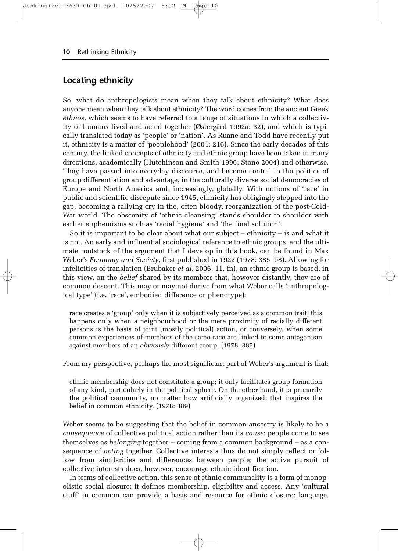# Locating ethnicity

So, what do anthropologists mean when they talk about ethnicity? What does anyone mean when they talk about ethnicity? The word comes from the ancient Greek *ethnos*, which seems to have referred to a range of situations in which a collectivity of humans lived and acted together (Østergård 1992a: 32), and which is typically translated today as 'people' or 'nation'. As Ruane and Todd have recently put it, ethnicity is a matter of 'peoplehood' (2004: 216). Since the early decades of this century, the linked concepts of ethnicity and ethnic group have been taken in many directions, academically (Hutchinson and Smith 1996; Stone 2004) and otherwise. They have passed into everyday discourse, and become central to the politics of group differentiation and advantage, in the culturally diverse social democracies of Europe and North America and, increasingly, globally. With notions of 'race' in public and scientific disrepute since 1945, ethnicity has obligingly stepped into the gap, becoming a rallying cry in the, often bloody, reorganization of the post-Cold-War world. The obscenity of 'ethnic cleansing' stands shoulder to shoulder with earlier euphemisms such as 'racial hygiene' and 'the final solution'.

So it is important to be clear about what our subject – ethnicity – is and what it is not. An early and influential sociological reference to ethnic groups, and the ultimate rootstock of the argument that I develop in this book, can be found in Max Weber's *Economy and Society*, first published in 1922 (1978: 385–98). Allowing for infelicities of translation (Brubaker *et al.* 2006: 11. fn), an ethnic group is based, in this view, on the *belief* shared by its members that, however distantly, they are of common descent. This may or may not derive from what Weber calls 'anthropological type' (i.e. 'race', embodied difference or phenotype):

race creates a 'group' only when it is subjectively perceived as a common trait: this happens only when a neighbourhood or the mere proximity of racially different persons is the basis of joint (mostly political) action, or conversely, when some common experiences of members of the same race are linked to some antagonism against members of an *obviously* different group. (1978: 385)

From my perspective, perhaps the most significant part of Weber's argument is that:

ethnic membership does not constitute a group; it only facilitates group formation of any kind, particularly in the political sphere. On the other hand, it is primarily the political community, no matter how artificially organized, that inspires the belief in common ethnicity. (1978: 389)

Weber seems to be suggesting that the belief in common ancestry is likely to be a *consequence* of collective political action rather than its *cause*; people come to see themselves as *belonging* together – coming from a common background – as a consequence of *acting* together. Collective interests thus do not simply reflect or follow from similarities and differences between people; the active pursuit of collective interests does, however, encourage ethnic identification.

In terms of collective action, this sense of ethnic communality is a form of monopolistic social closure: it defines membership, eligibility and access. Any 'cultural stuff' in common can provide a basis and resource for ethnic closure: language,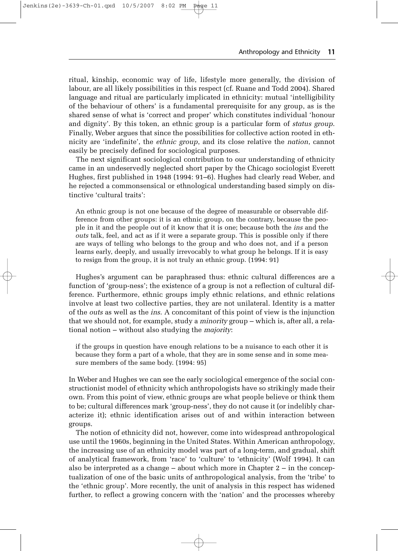ritual, kinship, economic way of life, lifestyle more generally, the division of labour, are all likely possibilities in this respect (cf. Ruane and Todd 2004). Shared language and ritual are particularly implicated in ethnicity: mutual 'intelligibility of the behaviour of others' is a fundamental prerequisite for any group, as is the shared sense of what is 'correct and proper' which constitutes individual 'honour and dignity'. By this token, an ethnic group is a particular form of *status group*. Finally, Weber argues that since the possibilities for collective action rooted in ethnicity are 'indefinite', the *ethnic group*, and its close relative the *nation*, cannot easily be precisely defined for sociological purposes.

Jenkins(2e)-3639-Ch-01.qxd 10/5/2007

The next significant sociological contribution to our understanding of ethnicity came in an undeservedly neglected short paper by the Chicago sociologist Everett Hughes, first published in 1948 (1994: 91–6). Hughes had clearly read Weber, and he rejected a commonsensical or ethnological understanding based simply on distinctive 'cultural traits':

An ethnic group is not one because of the degree of measurable or observable difference from other groups: it is an ethnic group, on the contrary, because the people in it and the people out of it know that it is one; because both the *ins* and the *outs* talk, feel, and act as if it were a separate group. This is possible only if there are ways of telling who belongs to the group and who does not, and if a person learns early, deeply, and usually irrevocably to what group he belongs. If it is easy to resign from the group, it is not truly an ethnic group. (1994: 91)

Hughes's argument can be paraphrased thus: ethnic cultural differences are a function of 'group-ness'; the existence of a group is not a reflection of cultural difference. Furthermore, ethnic groups imply ethnic relations, and ethnic relations involve at least two collective parties, they are not unilateral. Identity is a matter of the *outs* as well as the *ins*. A concomitant of this point of view is the injunction that we should not, for example, study a *minority* group – which is, after all, a relational notion – without also studying the *majority*:

if the groups in question have enough relations to be a nuisance to each other it is because they form a part of a whole, that they are in some sense and in some measure members of the same body. (1994: 95)

In Weber and Hughes we can see the early sociological emergence of the social constructionist model of ethnicity which anthropologists have so strikingly made their own. From this point of view, ethnic groups are what people believe or think them to be; cultural differences mark 'group-ness', they do not cause it (or indelibly characterize it); ethnic identification arises out of and within interaction between groups.

The notion of ethnicity did not, however, come into widespread anthropological use until the 1960s, beginning in the United States. Within American anthropology, the increasing use of an ethnicity model was part of a long-term, and gradual, shift of analytical framework, from 'race' to 'culture' to 'ethnicity' (Wolf 1994). It can also be interpreted as a change – about which more in Chapter 2 – in the conceptualization of one of the basic units of anthropological analysis, from the 'tribe' to the 'ethnic group'. More recently, the unit of analysis in this respect has widened further, to reflect a growing concern with the 'nation' and the processes whereby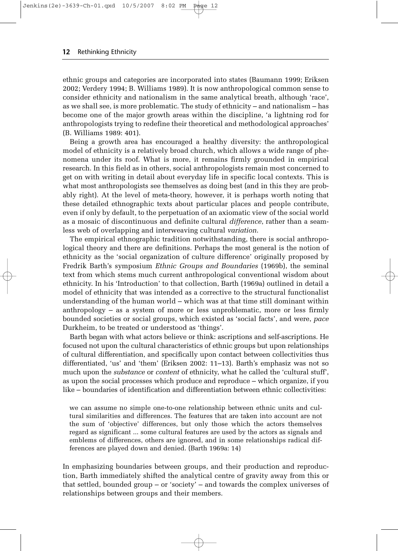ethnic groups and categories are incorporated into states (Baumann 1999; Eriksen 2002; Verdery 1994; B. Williams 1989). It is now anthropological common sense to consider ethnicity and nationalism in the same analytical breath, although 'race', as we shall see, is more problematic. The study of ethnicity – and nationalism – has become one of the major growth areas within the discipline, 'a lightning rod for anthropologists trying to redefine their theoretical and methodological approaches' (B. Williams 1989: 401).

Being a growth area has encouraged a healthy diversity: the anthropological model of ethnicity is a relatively broad church, which allows a wide range of phenomena under its roof. What is more, it remains firmly grounded in empirical research. In this field as in others, social anthropologists remain most concerned to get on with writing in detail about everyday life in specific local contexts. This is what most anthropologists see themselves as doing best (and in this they are probably right). At the level of meta-theory, however, it is perhaps worth noting that these detailed ethnographic texts about particular places and people contribute, even if only by default, to the perpetuation of an axiomatic view of the social world as a mosaic of discontinuous and definite cultural *difference*, rather than a seamless web of overlapping and interweaving cultural *variation*.

The empirical ethnographic tradition notwithstanding, there is social anthropological theory and there are definitions. Perhaps the most general is the notion of ethnicity as the 'social organization of culture difference' originally proposed by Fredrik Barth's symposium *Ethnic Groups and Boundaries* (1969b), the seminal text from which stems much current anthropological conventional wisdom about ethnicity. In his 'Introduction' to that collection, Barth (1969a) outlined in detail a model of ethnicity that was intended as a corrective to the structural functionalist understanding of the human world – which was at that time still dominant within anthropology – as a system of more or less unproblematic, more or less firmly bounded societies or social groups, which existed as 'social facts', and were, *pace* Durkheim, to be treated or understood as 'things'.

Barth began with what actors believe or think: ascriptions and self-ascriptions. He focused not upon the cultural characteristics of ethnic groups but upon relationships of cultural differentiation, and specifically upon contact between collectivities thus differentiated, 'us' and 'them' (Eriksen 2002: 11–13). Barth's emphasiz was not so much upon the *substance* or *content* of ethnicity, what he called the 'cultural stuff', as upon the social processes which produce and reproduce – which organize, if you like – boundaries of identification and differentiation between ethnic collectivities:

we can assume no simple one-to-one relationship between ethnic units and cultural similarities and differences. The features that are taken into account are not the sum of 'objective' differences, but only those which the actors themselves regard as significant ... some cultural features are used by the actors as signals and emblems of differences, others are ignored, and in some relationships radical differences are played down and denied. (Barth 1969a: 14)

In emphasizing boundaries between groups, and their production and reproduction, Barth immediately shifted the analytical centre of gravity away from this or that settled, bounded group – or 'society' – and towards the complex universes of relationships between groups and their members.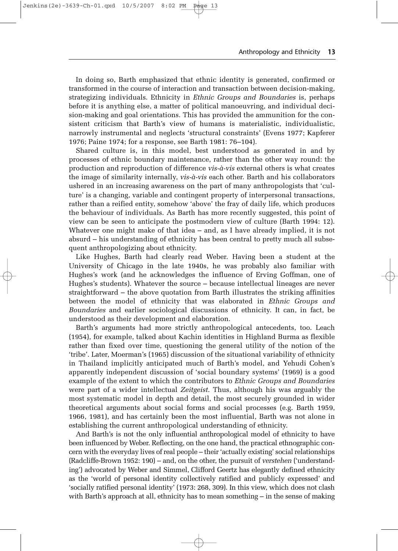Jenkins(2e)-3639-Ch-01.qxd 10/5/200

In doing so, Barth emphasized that ethnic identity is generated, confirmed or transformed in the course of interaction and transaction between decision-making, strategizing individuals. Ethnicity in *Ethnic Groups and Boundaries* is, perhaps before it is anything else, a matter of political manoeuvring, and individual decision-making and goal orientations. This has provided the ammunition for the consistent criticism that Barth's view of humans is materialistic, individualistic, narrowly instrumental and neglects 'structural constraints' (Evens 1977; Kapferer 1976; Paine 1974; for a response, see Barth 1981: 76–104).

Shared culture is, in this model, best understood as generated in and by processes of ethnic boundary maintenance, rather than the other way round: the production and reproduction of difference *vis-à-vis* external others is what creates the image of similarity internally, *vis-à-vis* each other. Barth and his collaborators ushered in an increasing awareness on the part of many anthropologists that 'culture' is a changing, variable and contingent property of interpersonal transactions, rather than a reified entity, somehow 'above' the fray of daily life, which produces the behaviour of individuals. As Barth has more recently suggested, this point of view can be seen to anticipate the postmodern view of culture (Barth 1994: 12). Whatever one might make of that idea – and, as I have already implied, it is not absurd – his understanding of ethnicity has been central to pretty much all subsequent anthropologizing about ethnicity.

Like Hughes, Barth had clearly read Weber. Having been a student at the University of Chicago in the late 1940s, he was probably also familiar with Hughes's work (and he acknowledges the influence of Erving Goffman, one of Hughes's students). Whatever the source – because intellectual lineages are never straightforward – the above quotation from Barth illustrates the striking affinities between the model of ethnicity that was elaborated in *Ethnic Groups and Boundaries* and earlier sociological discussions of ethnicity. It can, in fact, be understood as their development and elaboration.

Barth's arguments had more strictly anthropological antecedents, too. Leach (1954), for example, talked about Kachin identities in Highland Burma as flexible rather than fixed over time, questioning the general utility of the notion of the 'tribe'. Later, Moerman's (1965) discussion of the situational variability of ethnicity in Thailand implicitly anticipated much of Barth's model, and Yehudi Cohen's apparently independent discussion of 'social boundary systems' (1969) is a good example of the extent to which the contributors to *Ethnic Groups and Boundaries* were part of a wider intellectual *Zeitgeist*. Thus, although his was arguably the most systematic model in depth and detail, the most securely grounded in wider theoretical arguments about social forms and social processes (e.g. Barth 1959, 1966, 1981), and has certainly been the most influential, Barth was not alone in establishing the current anthropological understanding of ethnicity.

And Barth's is not the only influential anthropological model of ethnicity to have been influenced by Weber. Reflecting, on the one hand, the practical ethnographic concern with the everyday lives of real people – their 'actually existing' social relationships (Radcliffe-Brown 1952: 190) – and, on the other, the pursuit of *verstehen* ('understanding') advocated by Weber and Simmel, Clifford Geertz has elegantly defined ethnicity as the 'world of personal identity collectively ratified and publicly expressed' and 'socially ratified personal identity' (1973: 268, 309). In this view, which does not clash with Barth's approach at all, ethnicity has to mean something – in the sense of making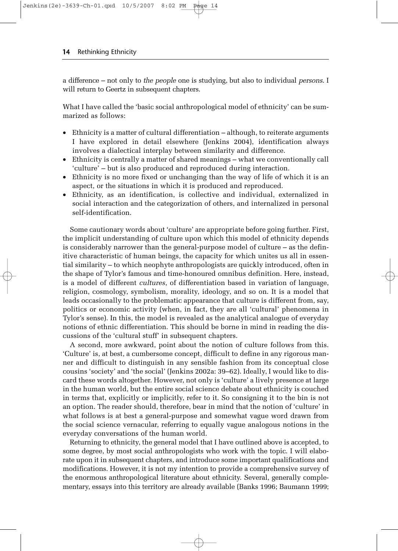a difference – not only to *the people* one is studying, but also to individual *persons*. I will return to Geertz in subsequent chapters.

What I have called the 'basic social anthropological model of ethnicity' can be summarized as follows:

- Ethnicity is a matter of cultural differentiation although, to reiterate arguments I have explored in detail elsewhere (Jenkins 2004), identification always involves a dialectical interplay between similarity and difference.
- Ethnicity is centrally a matter of shared meanings what we conventionally call 'culture' – but is also produced and reproduced during interaction.
- Ethnicity is no more fixed or unchanging than the way of life of which it is an aspect, or the situations in which it is produced and reproduced.
- Ethnicity, as an identification, is collective and individual, externalized in social interaction and the categorization of others, and internalized in personal self-identification.

Some cautionary words about 'culture' are appropriate before going further. First, the implicit understanding of culture upon which this model of ethnicity depends is considerably narrower than the general-purpose model of culture – as the definitive characteristic of human beings, the capacity for which unites us all in essential similarity – to which neophyte anthropologists are quickly introduced, often in the shape of Tylor's famous and time-honoured omnibus definition. Here, instead, is a model of different *cultures*, of differentiation based in variation of language, religion, cosmology, symbolism, morality, ideology, and so on. It is a model that leads occasionally to the problematic appearance that culture is different from, say, politics or economic activity (when, in fact, they are all 'cultural' phenomena in Tylor's sense). In this, the model is revealed as the analytical analogue of everyday notions of ethnic differentiation. This should be borne in mind in reading the discussions of the 'cultural stuff' in subsequent chapters.

A second, more awkward, point about the notion of culture follows from this. 'Culture' is, at best, a cumbersome concept, difficult to define in any rigorous manner and difficult to distinguish in any sensible fashion from its conceptual close cousins 'society' and 'the social' (Jenkins 2002a: 39–62). Ideally, I would like to discard these words altogether. However, not only is 'culture' a lively presence at large in the human world, but the entire social science debate about ethnicity is couched in terms that, explicitly or implicitly, refer to it. So consigning it to the bin is not an option. The reader should, therefore, bear in mind that the notion of 'culture' in what follows is at best a general-purpose and somewhat vague word drawn from the social science vernacular, referring to equally vague analogous notions in the everyday conversations of the human world.

Returning to ethnicity, the general model that I have outlined above is accepted, to some degree, by most social anthropologists who work with the topic. I will elaborate upon it in subsequent chapters, and introduce some important qualifications and modifications. However, it is not my intention to provide a comprehensive survey of the enormous anthropological literature about ethnicity. Several, generally complementary, essays into this territory are already available (Banks 1996; Baumann 1999;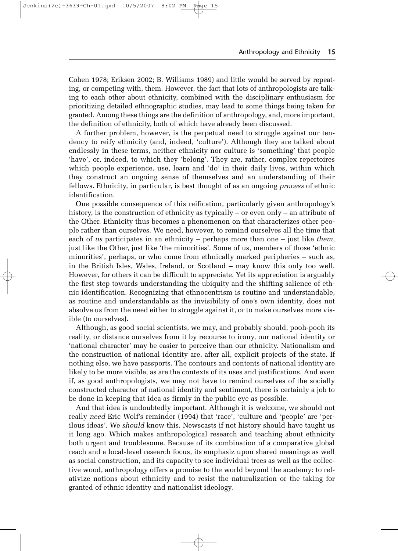Cohen 1978; Eriksen 2002; B. Williams 1989) and little would be served by repeating, or competing with, them. However, the fact that lots of anthropologists are talking to each other about ethnicity, combined with the disciplinary enthusiasm for prioritizing detailed ethnographic studies, may lead to some things being taken for granted. Among these things are the definition of anthropology, and, more important, the definition of ethnicity, both of which have already been discussed.

Jenkins(2e)-3639-Ch-01.qxd 10/5/200

A further problem, however, is the perpetual need to struggle against our tendency to reify ethnicity (and, indeed, 'culture'). Although they are talked about endlessly in these terms, neither ethnicity nor culture is 'something' that people 'have', or, indeed, to which they 'belong'. They are, rather, complex repertoires which people experience, use, learn and 'do' in their daily lives, within which they construct an ongoing sense of themselves and an understanding of their fellows. Ethnicity, in particular, is best thought of as an ongoing *process* of ethnic identification.

One possible consequence of this reification, particularly given anthropology's history, is the construction of ethnicity as typically – or even only – an attribute of the Other. Ethnicity thus becomes a phenomenon on that characterizes other people rather than ourselves. We need, however, to remind ourselves all the time that each of *us* participates in an ethnicity – perhaps more than one – just like *them*, just like the Other, just like 'the minorities'. Some of us, members of those 'ethnic minorities', perhaps, or who come from ethnically marked peripheries – such as, in the British Isles, Wales, Ireland, or Scotland – may know this only too well. However, for others it can be difficult to appreciate. Yet its appreciation is arguably the first step towards understanding the ubiquity and the shifting salience of ethnic identification. Recognizing that ethnocentrism is routine and understandable, as routine and understandable as the invisibility of one's own identity, does not absolve us from the need either to struggle against it, or to make ourselves more visible (to ourselves).

Although, as good social scientists, we may, and probably should, pooh-pooh its reality, or distance ourselves from it by recourse to irony, our national identity or 'national character' may be easier to perceive than our ethnicity. Nationalism and the construction of national identity are, after all, explicit projects of the state. If nothing else, we have passports. The contours and contents of national identity are likely to be more visible, as are the contexts of its uses and justifications. And even if, as good anthropologists, we may not have to remind ourselves of the socially constructed character of national identity and sentiment, there is certainly a job to be done in keeping that idea as firmly in the public eye as possible.

And that idea is undoubtedly important. Although it is welcome, we should not really *need* Eric Wolf's reminder (1994) that 'race', 'culture and 'people' are 'perilous ideas'. We *should* know this. Newscasts if not history should have taught us it long ago. Which makes anthropological research and teaching about ethnicity both urgent and troublesome. Because of its combination of a comparative global reach and a local-level research focus, its emphasiz upon shared meanings as well as social construction, and its capacity to see individual trees as well as the collective wood, anthropology offers a promise to the world beyond the academy: to relativize notions about ethnicity and to resist the naturalization or the taking for granted of ethnic identity and nationalist ideology.